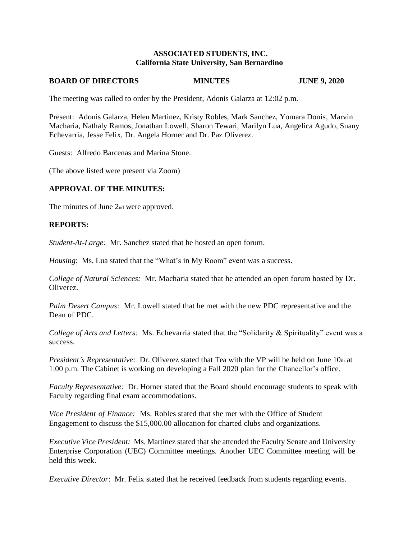### **ASSOCIATED STUDENTS, INC. California State University, San Bernardino**

#### **BOARD OF DIRECTORS MINUTES JUNE 9, 2020**

The meeting was called to order by the President, Adonis Galarza at 12:02 p.m.

Present: Adonis Galarza, Helen Martinez, Kristy Robles, Mark Sanchez, Yomara Donis, Marvin Macharia, Nathaly Ramos, Jonathan Lowell, Sharon Tewari, Marilyn Lua, Angelica Agudo, Suany Echevarria, Jesse Felix, Dr. Angela Horner and Dr. Paz Oliverez.

Guests: Alfredo Barcenas and Marina Stone.

(The above listed were present via Zoom)

### **APPROVAL OF THE MINUTES:**

The minutes of June 2nd were approved.

### **REPORTS:**

*Student-At-Large:* Mr. Sanchez stated that he hosted an open forum.

*Housing*: Ms. Lua stated that the "What's in My Room" event was a success.

*College of Natural Sciences:* Mr. Macharia stated that he attended an open forum hosted by Dr. Oliverez.

*Palm Desert Campus:* Mr. Lowell stated that he met with the new PDC representative and the Dean of PDC.

*College of Arts and Letters:* Ms. Echevarria stated that the "Solidarity & Spirituality" event was a success.

*President's Representative:* Dr. Oliverez stated that Tea with the VP will be held on June 10th at 1:00 p.m. The Cabinet is working on developing a Fall 2020 plan for the Chancellor's office.

*Faculty Representative:* Dr. Horner stated that the Board should encourage students to speak with Faculty regarding final exam accommodations.

*Vice President of Finance:* Ms. Robles stated that she met with the Office of Student Engagement to discuss the \$15,000.00 allocation for charted clubs and organizations.

*Executive Vice President:* Ms. Martinez stated that she attended the Faculty Senate and University Enterprise Corporation (UEC) Committee meetings. Another UEC Committee meeting will be held this week.

*Executive Director*: Mr. Felix stated that he received feedback from students regarding events.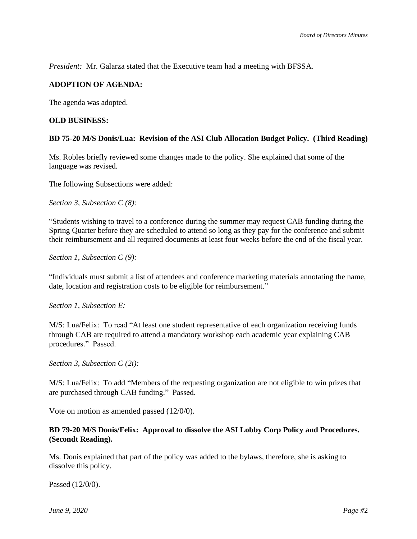*President:* Mr. Galarza stated that the Executive team had a meeting with BFSSA.

# **ADOPTION OF AGENDA:**

The agenda was adopted.

### **OLD BUSINESS:**

### **BD 75-20 M/S Donis/Lua: Revision of the ASI Club Allocation Budget Policy. (Third Reading)**

Ms. Robles briefly reviewed some changes made to the policy. She explained that some of the language was revised.

The following Subsections were added:

*Section 3, Subsection C (8):*

"Students wishing to travel to a conference during the summer may request CAB funding during the Spring Quarter before they are scheduled to attend so long as they pay for the conference and submit their reimbursement and all required documents at least four weeks before the end of the fiscal year.

*Section 1, Subsection C (9):*

"Individuals must submit a list of attendees and conference marketing materials annotating the name, date, location and registration costs to be eligible for reimbursement."

### *Section 1, Subsection E:*

M/S: Lua/Felix: To read "At least one student representative of each organization receiving funds through CAB are required to attend a mandatory workshop each academic year explaining CAB procedures." Passed.

*Section 3, Subsection C (2i):*

M/S: Lua/Felix: To add "Members of the requesting organization are not eligible to win prizes that are purchased through CAB funding." Passed.

Vote on motion as amended passed (12/0/0).

### **BD 79-20 M/S Donis/Felix: Approval to dissolve the ASI Lobby Corp Policy and Procedures. (Secondt Reading).**

Ms. Donis explained that part of the policy was added to the bylaws, therefore, she is asking to dissolve this policy.

Passed (12/0/0).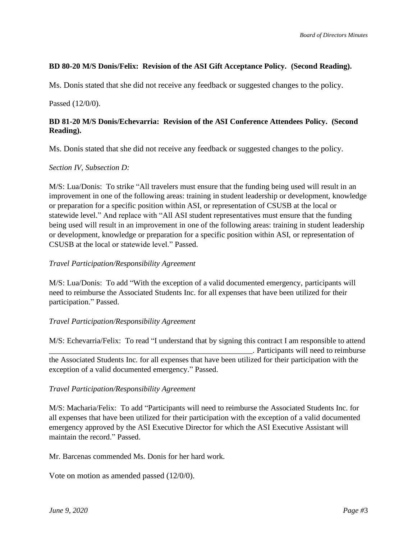# **BD 80-20 M/S Donis/Felix: Revision of the ASI Gift Acceptance Policy. (Second Reading).**

Ms. Donis stated that she did not receive any feedback or suggested changes to the policy.

Passed (12/0/0).

# **BD 81-20 M/S Donis/Echevarria: Revision of the ASI Conference Attendees Policy. (Second Reading).**

Ms. Donis stated that she did not receive any feedback or suggested changes to the policy.

## *Section IV, Subsection D:*

M/S: Lua/Donis: To strike "All travelers must ensure that the funding being used will result in an improvement in one of the following areas: training in student leadership or development, knowledge or preparation for a specific position within ASI, or representation of CSUSB at the local or statewide level." And replace with "All ASI student representatives must ensure that the funding being used will result in an improvement in one of the following areas: training in student leadership or development, knowledge or preparation for a specific position within ASI, or representation of CSUSB at the local or statewide level." Passed.

## *Travel Participation/Responsibility Agreement*

M/S: Lua/Donis: To add "With the exception of a valid documented emergency, participants will need to reimburse the Associated Students Inc. for all expenses that have been utilized for their participation." Passed.

# *Travel Participation/Responsibility Agreement*

M/S: Echevarria/Felix: To read "I understand that by signing this contract I am responsible to attend \_\_\_\_\_\_\_\_\_\_\_\_\_\_\_\_\_\_\_\_\_\_\_\_\_\_\_\_\_\_\_\_\_\_\_\_\_\_\_\_\_\_\_\_\_\_\_\_\_\_\_\_. Participants will need to reimburse the Associated Students Inc. for all expenses that have been utilized for their participation with the exception of a valid documented emergency." Passed.

## *Travel Participation/Responsibility Agreement*

M/S: Macharia/Felix: To add "Participants will need to reimburse the Associated Students Inc. for all expenses that have been utilized for their participation with the exception of a valid documented emergency approved by the ASI Executive Director for which the ASI Executive Assistant will maintain the record." Passed.

Mr. Barcenas commended Ms. Donis for her hard work.

Vote on motion as amended passed (12/0/0).